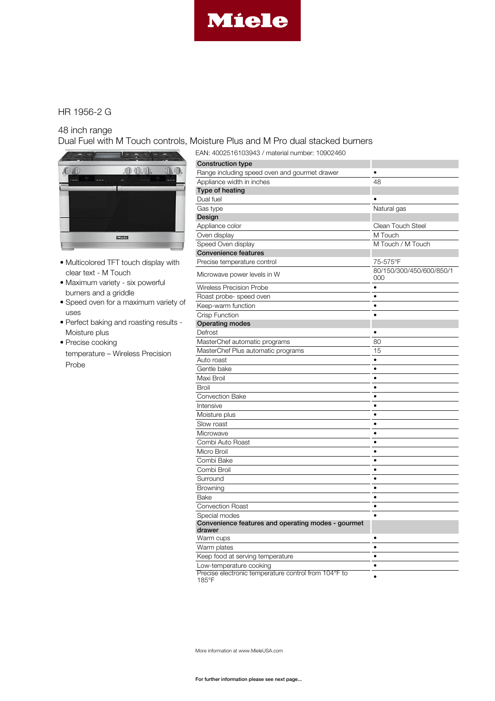

# HR 1956-2 G

#### 48 inch range

Dual Fuel with M Touch controls, Moisture Plus and M Pro dual stacked burners



- Multicolored TFT touch display with clear text - M Touch
- Maximum variety six powerful burners and a griddle
- Speed oven for a maximum variety of uses
- Perfect baking and roasting results Moisture plus
- Precise cooking temperature – Wireless Precision Probe

| EAN: 4002516103943 / material number: 10902460                |                                 |
|---------------------------------------------------------------|---------------------------------|
| <b>Construction type</b>                                      |                                 |
| Range including speed oven and gourmet drawer                 |                                 |
| Appliance width in inches                                     | 48                              |
| Type of heating                                               |                                 |
| Dual fuel                                                     |                                 |
| Gas type                                                      | Natural gas                     |
| Design                                                        |                                 |
| Appliance color                                               | <b>Clean Touch Steel</b>        |
| Oven display                                                  | M Touch                         |
| Speed Oven display                                            | M Touch / M Touch               |
| <b>Convenience features</b>                                   |                                 |
| Precise temperature control                                   | 75-575°F                        |
| Microwave power levels in W                                   | 80/150/300/450/600/850/1<br>000 |
| Wireless Precision Probe                                      | $\bullet$                       |
| Roast probe- speed oven                                       | $\bullet$                       |
| Keep-warm function                                            | $\bullet$                       |
| <b>Crisp Function</b>                                         |                                 |
| <b>Operating modes</b>                                        |                                 |
| Defrost                                                       |                                 |
| MasterChef automatic programs                                 | 80                              |
| MasterChef Plus automatic programs                            | 15                              |
| Auto roast                                                    | $\bullet$                       |
| Gentle bake                                                   | $\bullet$                       |
| Maxi Broil                                                    | $\bullet$                       |
| <b>Broil</b>                                                  | $\bullet$                       |
| <b>Convection Bake</b>                                        | $\bullet$                       |
| Intensive                                                     | $\bullet$                       |
| Moisture plus                                                 | ٠                               |
| Slow roast                                                    | ٠                               |
| Microwave                                                     | $\bullet$                       |
| Combi Auto Roast                                              | $\bullet$                       |
| Micro Broil                                                   | $\bullet$                       |
| Combi Bake                                                    | $\bullet$                       |
| Combi Broil                                                   | $\bullet$                       |
| Surround                                                      | $\bullet$                       |
| Browning                                                      | $\bullet$                       |
| Bake                                                          | $\bullet$                       |
| <b>Convection Roast</b>                                       | $\bullet$                       |
| Special modes                                                 |                                 |
| Convenience features and operating modes - gourmet<br>drawer  |                                 |
| Warm cups                                                     |                                 |
| Warm plates                                                   | $\bullet$                       |
| Keep food at serving temperature                              | $\bullet$                       |
| Low-temperature cooking                                       | ٠                               |
| Precise electronic temperature control from 104°F to<br>185°F |                                 |

More information at www.MieleUSA.com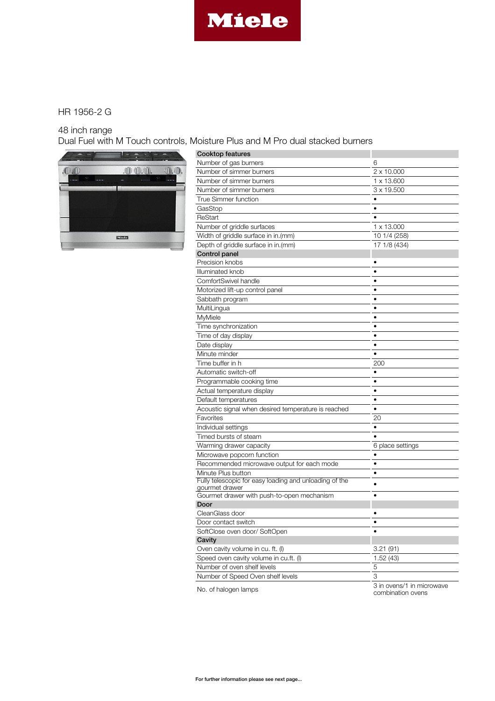

# HR 1956-2 G

### 48 inch range

Dual Fuel with M Touch controls, Moisture Plus and M Pro dual stacked burners



| Cooktop features                                       |                                                |
|--------------------------------------------------------|------------------------------------------------|
| Number of gas burners                                  | 6                                              |
| Number of simmer burners                               | 2 x 10.000                                     |
| Number of simmer burners                               | 1 x 13,600                                     |
| Number of simmer burners                               | 3 x 19.500                                     |
| <b>True Simmer function</b>                            |                                                |
| GasStop                                                | $\bullet$                                      |
| ReStart                                                | ٠                                              |
| Number of griddle surfaces                             | 1 x 13.000                                     |
| Width of griddle surface in in.(mm)                    | 10 1/4 (258)                                   |
| Depth of griddle surface in in.(mm)                    | 17 1/8 (434)                                   |
| Control panel                                          |                                                |
| Precision knobs                                        | ٠                                              |
| Illuminated knob                                       | ٠                                              |
| ComfortSwivel handle                                   | $\bullet$                                      |
| Motorized lift-up control panel                        | ٠                                              |
| Sabbath program                                        | $\bullet$                                      |
| MultiLingua                                            | $\bullet$                                      |
| MyMiele                                                | ٠                                              |
| Time synchronization                                   | ٠                                              |
| Time of day display                                    | $\bullet$                                      |
| Date display                                           |                                                |
| Minute minder                                          |                                                |
| Time buffer in h                                       | 200                                            |
| Automatic switch-off                                   | ٠                                              |
| Programmable cooking time                              | ٠                                              |
| Actual temperature display                             | $\bullet$                                      |
| Default temperatures                                   | ٠                                              |
| Acoustic signal when desired temperature is reached    | $\bullet$                                      |
| Favorites                                              | 20                                             |
| Individual settings                                    | ٠                                              |
| Timed bursts of steam                                  |                                                |
| Warming drawer capacity                                | 6 place settings                               |
| Microwave popcorn function                             |                                                |
| Recommended microwave output for each mode             | $\bullet$                                      |
| Minute Plus button                                     | $\bullet$                                      |
| Fully telescopic for easy loading and unloading of the |                                                |
| gourmet drawer                                         |                                                |
| Gourmet drawer with push-to-open mechanism             |                                                |
| Door                                                   |                                                |
| CleanGlass door                                        |                                                |
| Door contact switch                                    |                                                |
| SoftClose oven door/SoftOpen                           |                                                |
| Cavity                                                 |                                                |
| Oven cavity volume in cu. ft. (I)                      | 3.21(91)                                       |
| Speed oven cavity volume in cu.ft. (I)                 | 1.52(43)                                       |
| Number of oven shelf levels                            | 5                                              |
| Number of Speed Oven shelf levels                      | 3                                              |
| No. of halogen lamps                                   | 3 in ovens/1 in microwave<br>combination ovens |